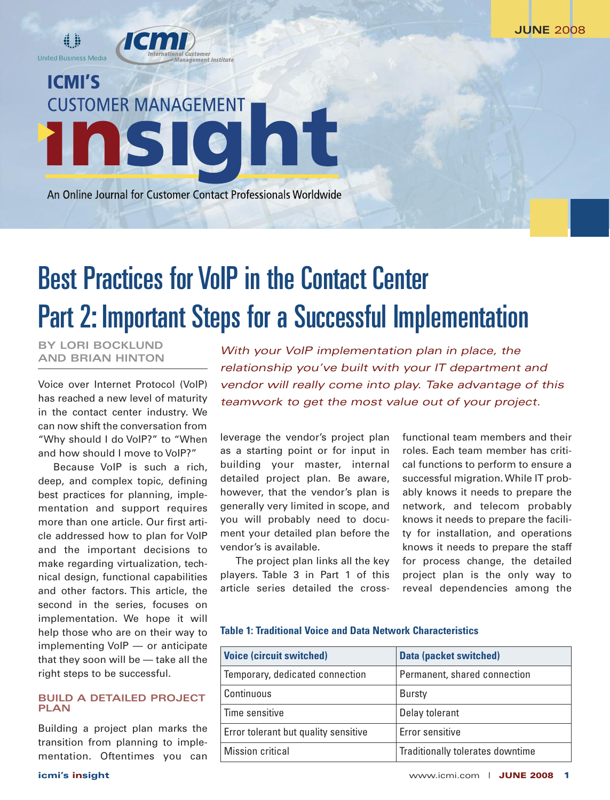**ICMI'S CUSTOMER MANAGEMENT** nt <u>Insici</u>

iliei<br>ent Institute

An Online Journal for Customer Contact Professionals Worldwide

# Best Practices for VoIP in the Contact Center Part 2: Important Steps for a Successful Implementation

**BY LORI BOCKLUND AND BRIAN HINTON**

**d i United Business Media** 

Voice over Internet Protocol (VoIP) has reached a new level of maturity in the contact center industry. We can now shift the conversation from "Why should I do VoIP?" to "When and how should I move to VoIP?"

Because VoIP is such a rich, deep, and complex topic, defining best practices for planning, implementation and support requires more than one article. Our first article addressed how to plan for VoIP and the important decisions to make regarding virtualization, technical design, functional capabilities and other factors. This article, the second in the series, focuses on implementation. We hope it will help those who are on their way to implementing VoIP — or anticipate that they soon will be — take all the right steps to be successful.

## **BUILD A DETAILED PROJECT PLAN**

Building a project plan marks the transition from planning to implementation. Oftentimes you can

*With your VoIP implementation plan in place, the relationship you've built with your IT department and vendor will really come into play. Take advantage of this teamwork to get the most value out of your project.*

leverage the vendor's project plan as a starting point or for input in building your master, internal detailed project plan. Be aware, however, that the vendor's plan is generally very limited in scope, and you will probably need to document your detailed plan before the vendor's is available.

The project plan links all the key players. Table 3 in Part 1 of this article series detailed the crossfunctional team members and their roles. Each team member has critical functions to perform to ensure a successful migration.While IT probably knows it needs to prepare the network, and telecom probably knows it needs to prepare the facility for installation, and operations knows it needs to prepare the staff for process change, the detailed project plan is the only way to reveal dependencies among the

**Table 1: Traditional Voice and Data Network Characteristics**

| <b>Voice (circuit switched)</b>      | <b>Data (packet switched)</b>    |
|--------------------------------------|----------------------------------|
| Temporary, dedicated connection      | Permanent, shared connection     |
| Continuous                           | <b>Bursty</b>                    |
| Time sensitive                       | Delay tolerant                   |
| Error tolerant but quality sensitive | Error sensitive                  |
| Mission critical                     | Traditionally tolerates downtime |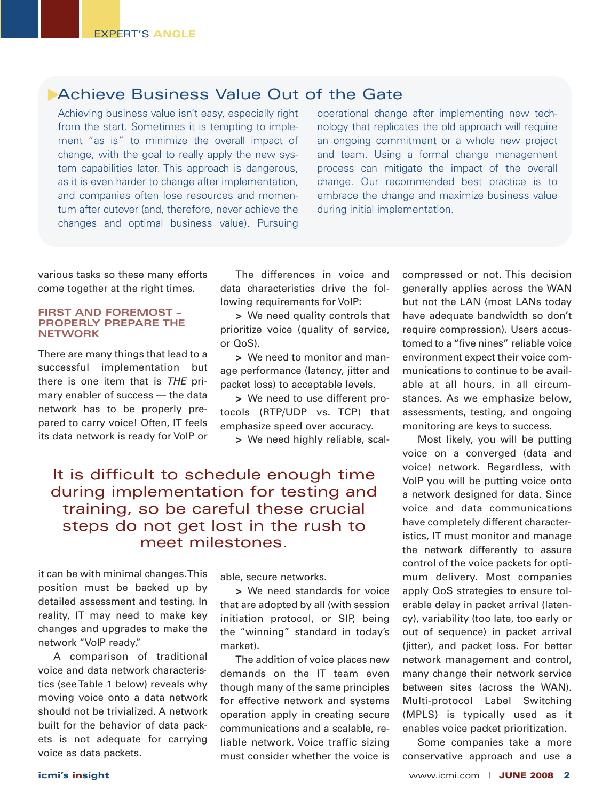## **Achieve Business Value Out of the Gate**

Achieving business value isn't easy, especially right from the start. Sometimes it is tempting to implement "as is" to minimize the overall impact of change, with the goal to really apply the new system capabilities later. This approach is dangerous, as it is even harder to change after implementation, and companies often lose resources and momentum after cutover (and, therefore, never achieve the changes and optimal business value). Pursuing

operational change after implementing new technology that replicates the old approach will require an ongoing commitment or a whole new project and team. Using a formal change management process can mitigate the impact of the overall change. Our recommended best practice is to embrace the change and maximize business value during initial implementation.

various tasks so these many efforts come together at the right times.

### **FIRST AND FOREMOST – PROPERLY PREPARE THE NETWORK**

There are many things that lead to a successful implementation but there is one item that is *THE* primary enabler of success — the data network has to be properly prepared to carry voice! Often, IT feels its data network is ready for VoIP or

The differences in voice and data characteristics drive the following requirements for VoIP:

**>** We need quality controls that prioritize voice (quality of service, or QoS).

**>** We need to monitor and manage performance (latency, jitter and packet loss) to acceptable levels.

**>** We need to use different protocols (RTP/UDP vs. TCP) that emphasize speed over accuracy.

**>** We need highly reliable, scal-

## It is difficult to schedule enough time during implementation for testing and training, so be careful these crucial steps do not get lost in the rush to meet milestones.

it can be with minimal changes.This position must be backed up by detailed assessment and testing. In reality, IT may need to make key changes and upgrades to make the network "VoIP ready."

A comparison of traditional voice and data network characteristics (seeTable 1 below) reveals why moving voice onto a data network should not be trivialized. A network built for the behavior of data packets is not adequate for carrying voice as data packets.

able, secure networks.

**>** We need standards for voice that are adopted by all (with session initiation protocol, or SIP, being the "winning" standard in today's market).

The addition of voice places new demands on the IT team even though many of the same principles for effective network and systems operation apply in creating secure communications and a scalable, reliable network. Voice traffic sizing must consider whether the voice is compressed or not. This decision generally applies across the WAN but not the LAN (most LANs today have adequate bandwidth so don't require compression). Users accustomed to a "five nines" reliable voice environment expect their voice communications to continue to be available at all hours, in all circumstances. As we emphasize below, assessments, testing, and ongoing monitoring are keys to success.

Most likely, you will be putting voice on a converged (data and voice) network. Regardless, with VoIP you will be putting voice onto a network designed for data. Since voice and data communications have completely different characteristics, IT must monitor and manage the network differently to assure control of the voice packets for optimum delivery. Most companies apply QoS strategies to ensure tolerable delay in packet arrival (latency), variability (too late, too early or out of sequence) in packet arrival (jitter), and packet loss. For better network management and control, many change their network service between sites (across the WAN). Multi-protocol Label Switching (MPLS) is typically used as it enables voice packet prioritization.

Some companies take a more conservative approach and use a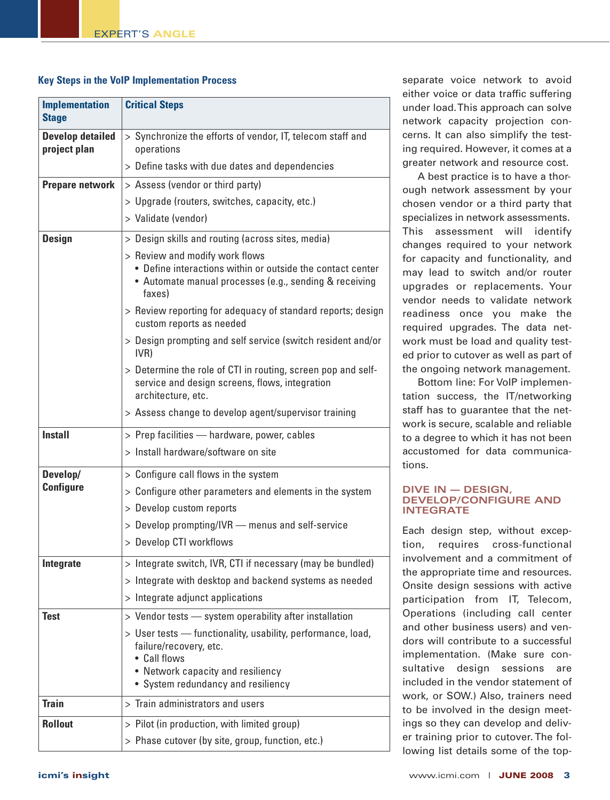## **Key Steps in the VoIP Implementation Process**

| <b>Implementation</b><br><b>Stage</b>   | <b>Critical Steps</b>                                                                                                                                                            |
|-----------------------------------------|----------------------------------------------------------------------------------------------------------------------------------------------------------------------------------|
| <b>Develop detailed</b><br>project plan | > Synchronize the efforts of vendor, IT, telecom staff and<br>operations                                                                                                         |
|                                         | > Define tasks with due dates and dependencies                                                                                                                                   |
| <b>Prepare network</b>                  | > Assess (vendor or third party)                                                                                                                                                 |
|                                         | > Upgrade (routers, switches, capacity, etc.)                                                                                                                                    |
|                                         | > Validate (vendor)                                                                                                                                                              |
| <b>Design</b>                           | > Design skills and routing (across sites, media)                                                                                                                                |
|                                         | > Review and modify work flows<br>• Define interactions within or outside the contact center<br>• Automate manual processes (e.g., sending & receiving<br>faxes)                 |
|                                         | > Review reporting for adequacy of standard reports; design<br>custom reports as needed                                                                                          |
|                                         | > Design prompting and self service (switch resident and/or<br>IVR)                                                                                                              |
|                                         | > Determine the role of CTI in routing, screen pop and self-<br>service and design screens, flows, integration<br>architecture, etc.                                             |
|                                         | > Assess change to develop agent/supervisor training                                                                                                                             |
| <b>Install</b>                          | > Prep facilities - hardware, power, cables                                                                                                                                      |
|                                         | > Install hardware/software on site                                                                                                                                              |
| Develop/                                | > Configure call flows in the system                                                                                                                                             |
| <b>Configure</b>                        | > Configure other parameters and elements in the system                                                                                                                          |
|                                         | > Develop custom reports                                                                                                                                                         |
|                                         | > Develop prompting/IVR - menus and self-service                                                                                                                                 |
|                                         | > Develop CTI workflows                                                                                                                                                          |
| Integrate                               | > Integrate switch, IVR, CTI if necessary (may be bundled)                                                                                                                       |
|                                         | > Integrate with desktop and backend systems as needed                                                                                                                           |
|                                         | > Integrate adjunct applications                                                                                                                                                 |
| <b>Test</b>                             | > Vendor tests - system operability after installation                                                                                                                           |
|                                         | > User tests - functionality, usability, performance, load,<br>failure/recovery, etc.<br>• Call flows<br>• Network capacity and resiliency<br>• System redundancy and resiliency |
| <b>Train</b>                            | > Train administrators and users                                                                                                                                                 |
| <b>Rollout</b>                          | > Pilot (in production, with limited group)                                                                                                                                      |
|                                         | > Phase cutover (by site, group, function, etc.)                                                                                                                                 |

separate voice network to avoid either voice or data traffic suffering under load.This approach can solve network capacity projection concerns. It can also simplify the testing required. However, it comes at a greater network and resource cost.

A best practice is to have a thorough network assessment by your chosen vendor or a third party that specializes in network assessments. This assessment will identify changes required to your network for capacity and functionality, and may lead to switch and/or router upgrades or replacements. Your vendor needs to validate network readiness once you make the required upgrades. The data network must be load and quality tested prior to cutover as well as part of the ongoing network management.

Bottom line: For VoIP implementation success, the IT/networking staff has to guarantee that the network is secure, scalable and reliable to a degree to which it has not been accustomed for data communications.

## **DIVE IN — DESIGN, DEVELOP/CONFIGURE AND INTEGRATE**

Each design step, without exception, requires cross-functional involvement and a commitment of the appropriate time and resources. Onsite design sessions with active participation from IT, Telecom, Operations (including call center and other business users) and vendors will contribute to a successful implementation. (Make sure consultative design sessions are included in the vendor statement of work, or SOW.) Also, trainers need to be involved in the design meetings so they can develop and deliver training prior to cutover. The following list details some of the top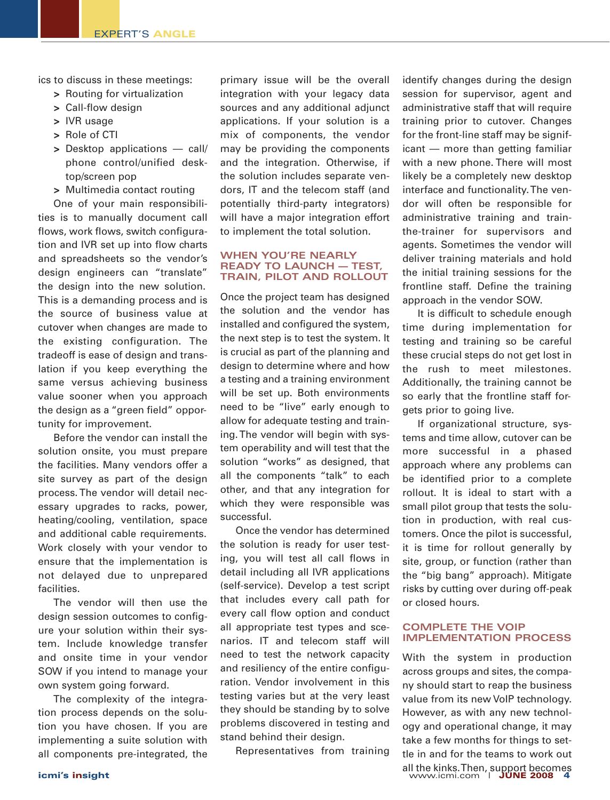ics to discuss in these meetings:

- **>** Routing for virtualization
- **>** Call-flow design
- **>** IVR usage
- **>** Role of CTI
- **>** Desktop applications call/ phone control/unified desktop/screen pop
- **>** Multimedia contact routing

One of your main responsibilities is to manually document call flows, work flows, switch configuration and IVR set up into flow charts and spreadsheets so the vendor's design engineers can "translate" the design into the new solution. This is a demanding process and is the source of business value at cutover when changes are made to the existing configuration. The tradeoff is ease of design and translation if you keep everything the same versus achieving business value sooner when you approach the design as a "green field" opportunity for improvement.

Before the vendor can install the solution onsite, you must prepare the facilities. Many vendors offer a site survey as part of the design process. The vendor will detail necessary upgrades to racks, power, heating/cooling, ventilation, space and additional cable requirements. Work closely with your vendor to ensure that the implementation is not delayed due to unprepared facilities.

The vendor will then use the design session outcomes to configure your solution within their system. Include knowledge transfer and onsite time in your vendor SOW if you intend to manage your own system going forward.

The complexity of the integration process depends on the solution you have chosen. If you are implementing a suite solution with all components pre-integrated, the primary issue will be the overall integration with your legacy data sources and any additional adjunct applications. If your solution is a mix of components, the vendor may be providing the components and the integration. Otherwise, if the solution includes separate vendors, IT and the telecom staff (and potentially third-party integrators) will have a major integration effort to implement the total solution.

### **WHEN YOU'RE NEARLY READY TO LAUNCH — TEST, TRAIN, PILOT AND ROLLOUT**

Once the project team has designed the solution and the vendor has installed and configured the system, the next step is to test the system. It is crucial as part of the planning and design to determine where and how a testing and a training environment will be set up. Both environments need to be "live" early enough to allow for adequate testing and training. The vendor will begin with system operability and will test that the solution "works" as designed, that all the components "talk" to each other, and that any integration for which they were responsible was successful.

Once the vendor has determined the solution is ready for user testing, you will test all call flows in detail including all IVR applications (self-service). Develop a test script that includes every call path for every call flow option and conduct all appropriate test types and scenarios. IT and telecom staff will need to test the network capacity and resiliency of the entire configuration. Vendor involvement in this testing varies but at the very least they should be standing by to solve problems discovered in testing and stand behind their design.

Representatives from training

identify changes during the design session for supervisor, agent and administrative staff that will require training prior to cutover. Changes for the front-line staff may be significant — more than getting familiar with a new phone. There will most likely be a completely new desktop interface and functionality.The vendor will often be responsible for administrative training and trainthe-trainer for supervisors and agents. Sometimes the vendor will deliver training materials and hold the initial training sessions for the frontline staff. Define the training approach in the vendor SOW.

It is difficult to schedule enough time during implementation for testing and training so be careful these crucial steps do not get lost in the rush to meet milestones. Additionally, the training cannot be so early that the frontline staff forgets prior to going live.

If organizational structure, systems and time allow, cutover can be more successful in a phased approach where any problems can be identified prior to a complete rollout. It is ideal to start with a small pilot group that tests the solution in production, with real customers. Once the pilot is successful, it is time for rollout generally by site, group, or function (rather than the "big bang" approach). Mitigate risks by cutting over during off-peak or closed hours.

## **COMPLETE THE VOIP IMPLEMENTATION PROCESS**

With the system in production across groups and sites, the company should start to reap the business value from its new VoIP technology. However, as with any new technology and operational change, it may take a few months for things to settle in and for the teams to work out all the kinks.Then, support becomes **icmi's insight** www.icmi.com | **JUNE 2008 4**